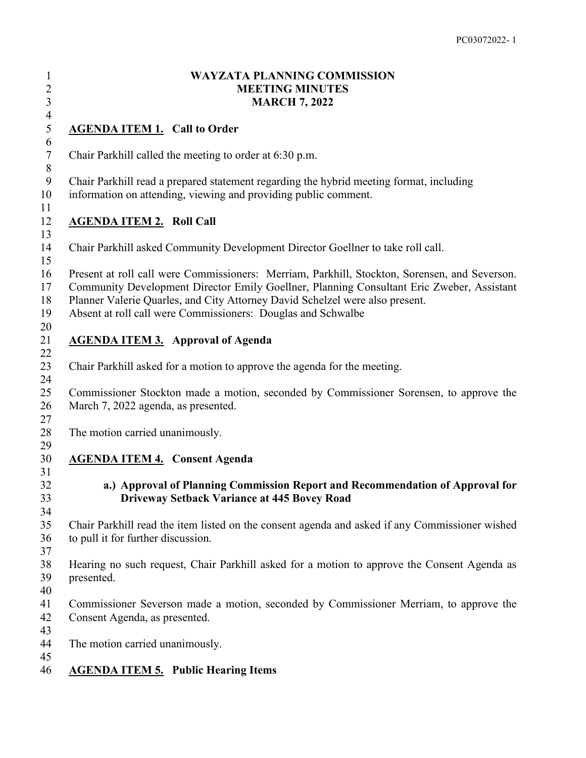### **WAYZATA PLANNING COMMISSION MEETING MINUTES MARCH 7, 2022**

## **AGENDA ITEM 1. Call to Order**

Chair Parkhill called the meeting to order at 6:30 p.m.

Chair Parkhill read a prepared statement regarding the hybrid meeting format, including

information on attending, viewing and providing public comment.

### **AGENDA ITEM 2. Roll Call**

Chair Parkhill asked Community Development Director Goellner to take roll call.

Present at roll call were Commissioners: Merriam, Parkhill, Stockton, Sorensen, and Severson.

Community Development Director Emily Goellner, Planning Consultant Eric Zweber, Assistant

Planner Valerie Quarles, and City Attorney David Schelzel were also present.

 Absent at roll call were Commissioners: Douglas and Schwalbe 

### **AGENDA ITEM 3. Approval of Agenda**

Chair Parkhill asked for a motion to approve the agenda for the meeting.

 Commissioner Stockton made a motion, seconded by Commissioner Sorensen, to approve the March 7, 2022 agenda, as presented.

 $\frac{4}{5}$ 

The motion carried unanimously.

# **AGENDA ITEM 4. Consent Agenda**

## **a.) Approval of Planning Commission Report and Recommendation of Approval for Driveway Setback Variance at 445 Bovey Road**

 Chair Parkhill read the item listed on the consent agenda and asked if any Commissioner wished to pull it for further discussion.

 Hearing no such request, Chair Parkhill asked for a motion to approve the Consent Agenda as presented.

- 
- Commissioner Severson made a motion, seconded by Commissioner Merriam, to approve the Consent Agenda, as presented.

 The motion carried unanimously.

# **AGENDA ITEM 5. Public Hearing Items**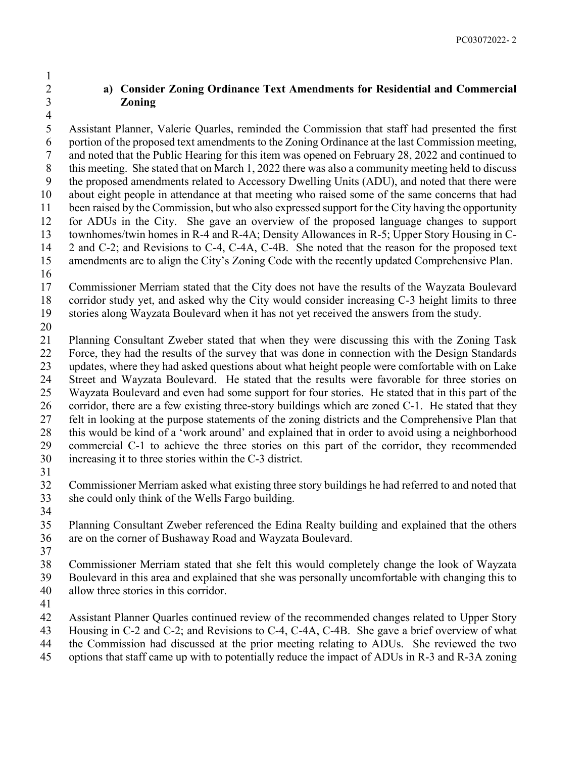## **a) Consider Zoning Ordinance Text Amendments for Residential and Commercial Zoning**

 Assistant Planner, Valerie Quarles, reminded the Commission that staff had presented the first portion of the proposed text amendments to the Zoning Ordinance at the last Commission meeting, and noted that the Public Hearing for this item was opened on February 28, 2022 and continued to this meeting. She stated that on March 1, 2022 there was also a community meeting held to discuss the proposed amendments related to Accessory Dwelling Units (ADU), and noted that there were about eight people in attendance at that meeting who raised some of the same concerns that had been raised by the Commission, but who also expressed support for the City having the opportunity for ADUs in the City. She gave an overview of the proposed language changes to support townhomes/twin homes in R-4 and R-4A; Density Allowances in R-5; Upper Story Housing in C- 2 and C-2; and Revisions to C-4, C-4A, C-4B. She noted that the reason for the proposed text amendments are to align the City's Zoning Code with the recently updated Comprehensive Plan.

 Commissioner Merriam stated that the City does not have the results of the Wayzata Boulevard corridor study yet, and asked why the City would consider increasing C-3 height limits to three stories along Wayzata Boulevard when it has not yet received the answers from the study.

 Planning Consultant Zweber stated that when they were discussing this with the Zoning Task Force, they had the results of the survey that was done in connection with the Design Standards updates, where they had asked questions about what height people were comfortable with on Lake Street and Wayzata Boulevard. He stated that the results were favorable for three stories on Wayzata Boulevard and even had some support for four stories. He stated that in this part of the corridor, there are a few existing three-story buildings which are zoned C-1. He stated that they felt in looking at the purpose statements of the zoning districts and the Comprehensive Plan that this would be kind of a 'work around' and explained that in order to avoid using a neighborhood commercial C-1 to achieve the three stories on this part of the corridor, they recommended increasing it to three stories within the C-3 district.

 Commissioner Merriam asked what existing three story buildings he had referred to and noted that she could only think of the Wells Fargo building.

 Planning Consultant Zweber referenced the Edina Realty building and explained that the others are on the corner of Bushaway Road and Wayzata Boulevard.

Commissioner Merriam stated that she felt this would completely change the look of Wayzata

Boulevard in this area and explained that she was personally uncomfortable with changing this to

- allow three stories in this corridor.
- 

Assistant Planner Quarles continued review of the recommended changes related to Upper Story

- Housing in C-2 and C-2; and Revisions to C-4, C-4A, C-4B. She gave a brief overview of what
- the Commission had discussed at the prior meeting relating to ADUs. She reviewed the two
- options that staff came up with to potentially reduce the impact of ADUs in R-3 and R-3A zoning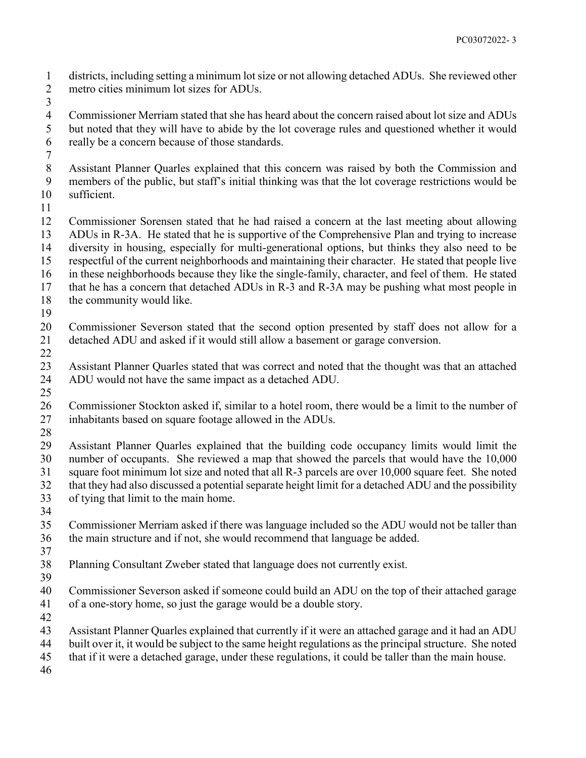districts, including setting a minimum lot size or not allowing detached ADUs. She reviewed other metro cities minimum lot sizes for ADUs.

 Commissioner Merriam stated that she has heard about the concern raised about lot size and ADUs but noted that they will have to abide by the lot coverage rules and questioned whether it would really be a concern because of those standards.

 Assistant Planner Quarles explained that this concern was raised by both the Commission and members of the public, but staff's initial thinking was that the lot coverage restrictions would be sufficient.

 Commissioner Sorensen stated that he had raised a concern at the last meeting about allowing ADUs in R-3A. He stated that he is supportive of the Comprehensive Plan and trying to increase diversity in housing, especially for multi-generational options, but thinks they also need to be respectful of the current neighborhoods and maintaining their character. He stated that people live in these neighborhoods because they like the single-family, character, and feel of them. He stated that he has a concern that detached ADUs in R-3 and R-3A may be pushing what most people in

- 18 the community would like.
- 

 Commissioner Severson stated that the second option presented by staff does not allow for a detached ADU and asked if it would still allow a basement or garage conversion.

 Assistant Planner Quarles stated that was correct and noted that the thought was that an attached ADU would not have the same impact as a detached ADU.

 Commissioner Stockton asked if, similar to a hotel room, there would be a limit to the number of inhabitants based on square footage allowed in the ADUs.

 Assistant Planner Quarles explained that the building code occupancy limits would limit the number of occupants. She reviewed a map that showed the parcels that would have the 10,000 square foot minimum lot size and noted that all R-3 parcels are over 10,000 square feet. She noted that they had also discussed a potential separate height limit for a detached ADU and the possibility of tying that limit to the main home. 

 Commissioner Merriam asked if there was language included so the ADU would not be taller than the main structure and if not, she would recommend that language be added.

 Planning Consultant Zweber stated that language does not currently exist. 

 Commissioner Severson asked if someone could build an ADU on the top of their attached garage of a one-story home, so just the garage would be a double story.

Assistant Planner Quarles explained that currently if it were an attached garage and it had an ADU

- built over it, it would be subject to the same height regulations as the principal structure. She noted
- that if it were a detached garage, under these regulations, it could be taller than the main house.
-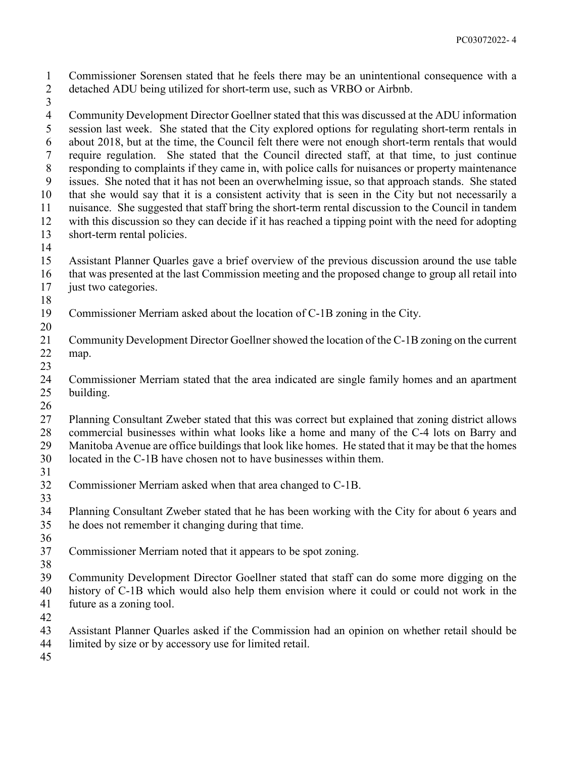Commissioner Sorensen stated that he feels there may be an unintentional consequence with a detached ADU being utilized for short-term use, such as VRBO or Airbnb.

 Community Development Director Goellner stated that this was discussed at the ADU information session last week. She stated that the City explored options for regulating short-term rentals in about 2018, but at the time, the Council felt there were not enough short-term rentals that would require regulation. She stated that the Council directed staff, at that time, to just continue responding to complaints if they came in, with police calls for nuisances or property maintenance issues. She noted that it has not been an overwhelming issue, so that approach stands. She stated that she would say that it is a consistent activity that is seen in the City but not necessarily a nuisance. She suggested that staff bring the short-term rental discussion to the Council in tandem with this discussion so they can decide if it has reached a tipping point with the need for adopting short-term rental policies.

- 
- Assistant Planner Quarles gave a brief overview of the previous discussion around the use table that was presented at the last Commission meeting and the proposed change to group all retail into
- 17 just two categories.
- 
- Commissioner Merriam asked about the location of C-1B zoning in the City.
- Community Development Director Goellner showed the location of the C-1B zoning on the current map.
- 

 Commissioner Merriam stated that the area indicated are single family homes and an apartment building.

 Planning Consultant Zweber stated that this was correct but explained that zoning district allows commercial businesses within what looks like a home and many of the C-4 lots on Barry and Manitoba Avenue are office buildings that look like homes. He stated that it may be that the homes

located in the C-1B have chosen not to have businesses within them.

- 
- Commissioner Merriam asked when that area changed to C-1B.
- 
- Planning Consultant Zweber stated that he has been working with the City for about 6 years and he does not remember it changing during that time.
- 
- Commissioner Merriam noted that it appears to be spot zoning.
- 
- Community Development Director Goellner stated that staff can do some more digging on the history of C-1B which would also help them envision where it could or could not work in the
- future as a zoning tool.
- 
- Assistant Planner Quarles asked if the Commission had an opinion on whether retail should be
- limited by size or by accessory use for limited retail.
-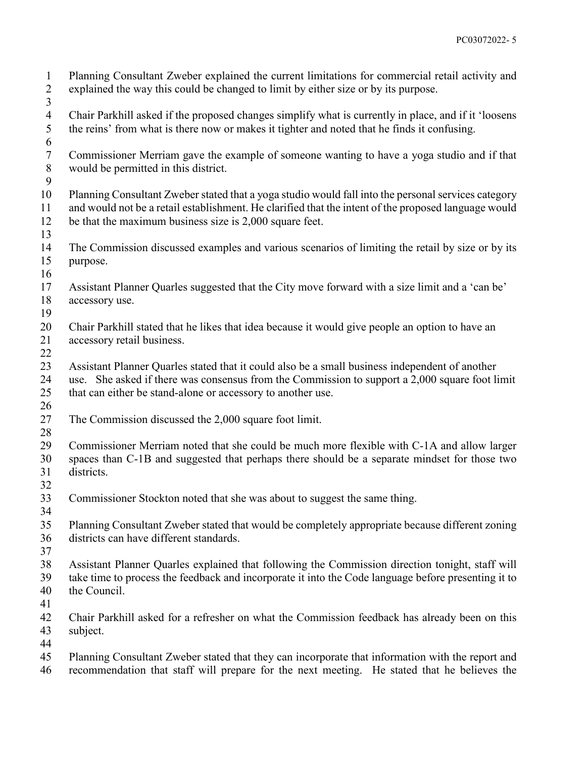Planning Consultant Zweber explained the current limitations for commercial retail activity and explained the way this could be changed to limit by either size or by its purpose. Chair Parkhill asked if the proposed changes simplify what is currently in place, and if it 'loosens the reins' from what is there now or makes it tighter and noted that he finds it confusing. Commissioner Merriam gave the example of someone wanting to have a yoga studio and if that would be permitted in this district. Planning Consultant Zweber stated that a yoga studio would fall into the personal services category and would not be a retail establishment. He clarified that the intent of the proposed language would be that the maximum business size is 2,000 square feet. The Commission discussed examples and various scenarios of limiting the retail by size or by its purpose. Assistant Planner Quarles suggested that the City move forward with a size limit and a 'can be' accessory use. Chair Parkhill stated that he likes that idea because it would give people an option to have an accessory retail business. Assistant Planner Quarles stated that it could also be a small business independent of another use. She asked if there was consensus from the Commission to support a 2,000 square foot limit that can either be stand-alone or accessory to another use. The Commission discussed the 2,000 square foot limit. Commissioner Merriam noted that she could be much more flexible with C-1A and allow larger spaces than C-1B and suggested that perhaps there should be a separate mindset for those two districts. Commissioner Stockton noted that she was about to suggest the same thing. Planning Consultant Zweber stated that would be completely appropriate because different zoning districts can have different standards. Assistant Planner Quarles explained that following the Commission direction tonight, staff will take time to process the feedback and incorporate it into the Code language before presenting it to the Council. Chair Parkhill asked for a refresher on what the Commission feedback has already been on this subject. Planning Consultant Zweber stated that they can incorporate that information with the report and recommendation that staff will prepare for the next meeting. He stated that he believes the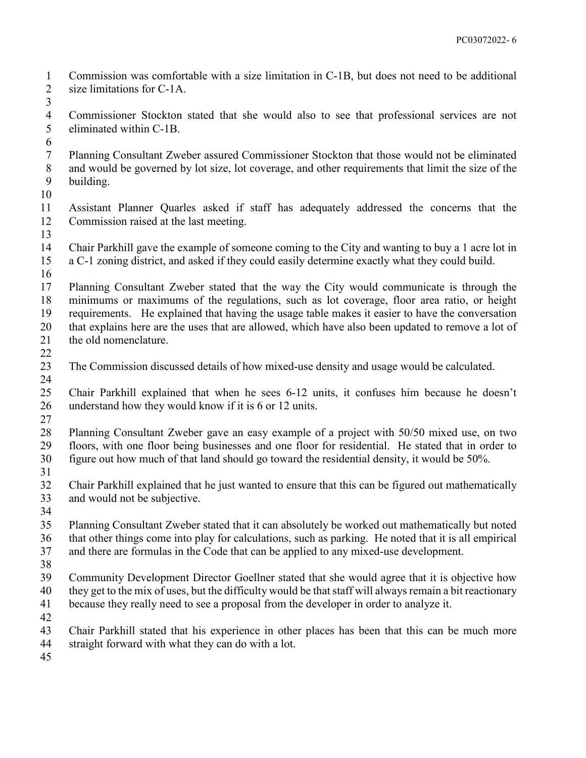- Commission was comfortable with a size limitation in C-1B, but does not need to be additional size limitations for C-1A.
- Commissioner Stockton stated that she would also to see that professional services are not eliminated within C-1B.
- 
- Planning Consultant Zweber assured Commissioner Stockton that those would not be eliminated and would be governed by lot size, lot coverage, and other requirements that limit the size of the building.
- 
- Assistant Planner Quarles asked if staff has adequately addressed the concerns that the Commission raised at the last meeting.
- Chair Parkhill gave the example of someone coming to the City and wanting to buy a 1 acre lot in a C-1 zoning district, and asked if they could easily determine exactly what they could build.
- 
- Planning Consultant Zweber stated that the way the City would communicate is through the minimums or maximums of the regulations, such as lot coverage, floor area ratio, or height requirements. He explained that having the usage table makes it easier to have the conversation that explains here are the uses that are allowed, which have also been updated to remove a lot of 21 the old nomenclature.
- 
- The Commission discussed details of how mixed-use density and usage would be calculated.
- Chair Parkhill explained that when he sees 6-12 units, it confuses him because he doesn't understand how they would know if it is 6 or 12 units.
- Planning Consultant Zweber gave an easy example of a project with 50/50 mixed use, on two floors, with one floor being businesses and one floor for residential. He stated that in order to figure out how much of that land should go toward the residential density, it would be 50%.
- Chair Parkhill explained that he just wanted to ensure that this can be figured out mathematically and would not be subjective.
- 
- Planning Consultant Zweber stated that it can absolutely be worked out mathematically but noted that other things come into play for calculations, such as parking. He noted that it is all empirical and there are formulas in the Code that can be applied to any mixed-use development.
- 
- Community Development Director Goellner stated that she would agree that it is objective how they get to the mix of uses, but the difficulty would be that staff will always remain a bit reactionary
- because they really need to see a proposal from the developer in order to analyze it.
- 
- Chair Parkhill stated that his experience in other places has been that this can be much more
- straight forward with what they can do with a lot.
-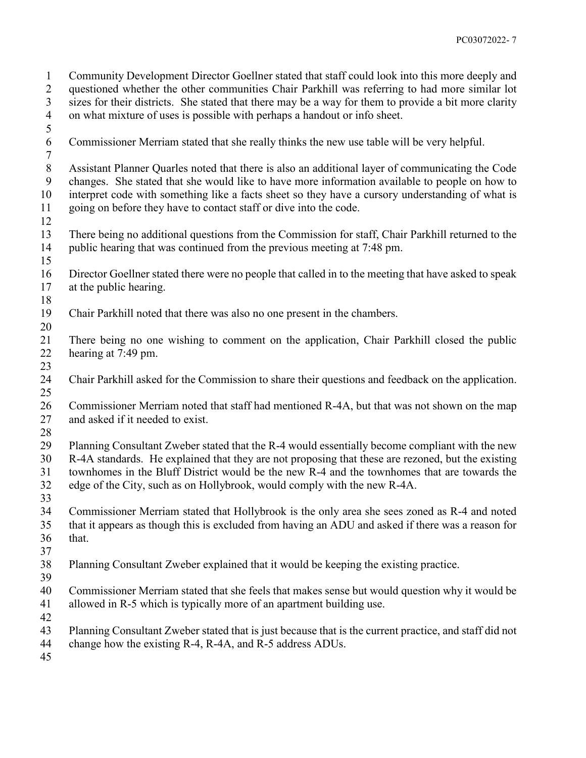Community Development Director Goellner stated that staff could look into this more deeply and questioned whether the other communities Chair Parkhill was referring to had more similar lot sizes for their districts. She stated that there may be a way for them to provide a bit more clarity on what mixture of uses is possible with perhaps a handout or info sheet. Commissioner Merriam stated that she really thinks the new use table will be very helpful. Assistant Planner Quarles noted that there is also an additional layer of communicating the Code changes. She stated that she would like to have more information available to people on how to interpret code with something like a facts sheet so they have a cursory understanding of what is going on before they have to contact staff or dive into the code. There being no additional questions from the Commission for staff, Chair Parkhill returned to the public hearing that was continued from the previous meeting at 7:48 pm. Director Goellner stated there were no people that called in to the meeting that have asked to speak at the public hearing. Chair Parkhill noted that there was also no one present in the chambers. There being no one wishing to comment on the application, Chair Parkhill closed the public hearing at 7:49 pm. Chair Parkhill asked for the Commission to share their questions and feedback on the application. Commissioner Merriam noted that staff had mentioned R-4A, but that was not shown on the map 27 and asked if it needed to exist. Planning Consultant Zweber stated that the R-4 would essentially become compliant with the new R-4A standards. He explained that they are not proposing that these are rezoned, but the existing townhomes in the Bluff District would be the new R-4 and the townhomes that are towards the edge of the City, such as on Hollybrook, would comply with the new R-4A. Commissioner Merriam stated that Hollybrook is the only area she sees zoned as R-4 and noted that it appears as though this is excluded from having an ADU and asked if there was a reason for that. Planning Consultant Zweber explained that it would be keeping the existing practice. Commissioner Merriam stated that she feels that makes sense but would question why it would be allowed in R-5 which is typically more of an apartment building use. Planning Consultant Zweber stated that is just because that is the current practice, and staff did not change how the existing R-4, R-4A, and R-5 address ADUs.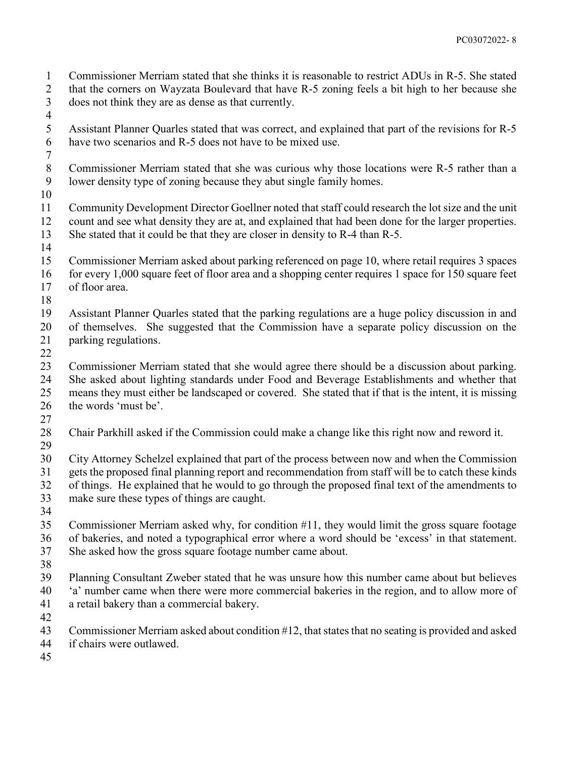Commissioner Merriam stated that she thinks it is reasonable to restrict ADUs in R-5. She stated that the corners on Wayzata Boulevard that have R-5 zoning feels a bit high to her because she does not think they are as dense as that currently.

- 
- Assistant Planner Quarles stated that was correct, and explained that part of the revisions for R-5 have two scenarios and R-5 does not have to be mixed use.
- Commissioner Merriam stated that she was curious why those locations were R-5 rather than a lower density type of zoning because they abut single family homes.
- 

- Community Development Director Goellner noted that staff could research the lot size and the unit count and see what density they are at, and explained that had been done for the larger properties. She stated that it could be that they are closer in density to R-4 than R-5.
- 
- Commissioner Merriam asked about parking referenced on page 10, where retail requires 3 spaces for every 1,000 square feet of floor area and a shopping center requires 1 space for 150 square feet
- of floor area.
- 
- Assistant Planner Quarles stated that the parking regulations are a huge policy discussion in and
- 
- of themselves. She suggested that the Commission have a separate policy discussion on the
- parking regulations.
- 

 Commissioner Merriam stated that she would agree there should be a discussion about parking. She asked about lighting standards under Food and Beverage Establishments and whether that means they must either be landscaped or covered. She stated that if that is the intent, it is missing the words 'must be'.

- 
- Chair Parkhill asked if the Commission could make a change like this right now and reword it.
- 

 City Attorney Schelzel explained that part of the process between now and when the Commission gets the proposed final planning report and recommendation from staff will be to catch these kinds of things. He explained that he would to go through the proposed final text of the amendments to

- make sure these types of things are caught.
- Commissioner Merriam asked why, for condition #11, they would limit the gross square footage of bakeries, and noted a typographical error where a word should be 'excess' in that statement. She asked how the gross square footage number came about.
- 
- Planning Consultant Zweber stated that he was unsure how this number came about but believes 'a' number came when there were more commercial bakeries in the region, and to allow more of a retail bakery than a commercial bakery.
- 
- Commissioner Merriam asked about condition #12, that states that no seating is provided and asked
- if chairs were outlawed.
-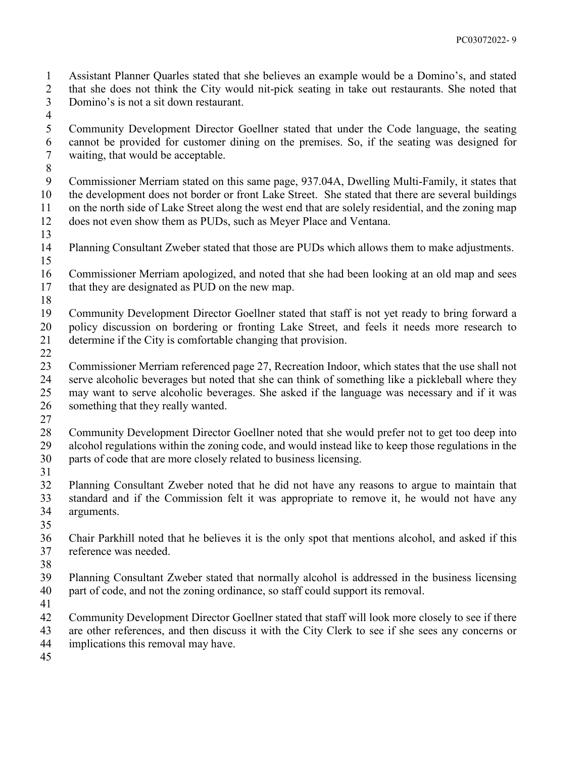Assistant Planner Quarles stated that she believes an example would be a Domino's, and stated

 that she does not think the City would nit-pick seating in take out restaurants. She noted that Domino's is not a sit down restaurant.

 Community Development Director Goellner stated that under the Code language, the seating cannot be provided for customer dining on the premises. So, if the seating was designed for waiting, that would be acceptable.

 Commissioner Merriam stated on this same page, 937.04A, Dwelling Multi-Family, it states that the development does not border or front Lake Street. She stated that there are several buildings on the north side of Lake Street along the west end that are solely residential, and the zoning map does not even show them as PUDs, such as Meyer Place and Ventana.

 Planning Consultant Zweber stated that those are PUDs which allows them to make adjustments. 

 Commissioner Merriam apologized, and noted that she had been looking at an old map and sees 17 that they are designated as PUD on the new map.

 Community Development Director Goellner stated that staff is not yet ready to bring forward a policy discussion on bordering or fronting Lake Street, and feels it needs more research to determine if the City is comfortable changing that provision.

 Commissioner Merriam referenced page 27, Recreation Indoor, which states that the use shall not serve alcoholic beverages but noted that she can think of something like a pickleball where they may want to serve alcoholic beverages. She asked if the language was necessary and if it was something that they really wanted.

 Community Development Director Goellner noted that she would prefer not to get too deep into alcohol regulations within the zoning code, and would instead like to keep those regulations in the parts of code that are more closely related to business licensing.

 Planning Consultant Zweber noted that he did not have any reasons to argue to maintain that standard and if the Commission felt it was appropriate to remove it, he would not have any arguments.

 Chair Parkhill noted that he believes it is the only spot that mentions alcohol, and asked if this reference was needed.

 Planning Consultant Zweber stated that normally alcohol is addressed in the business licensing part of code, and not the zoning ordinance, so staff could support its removal.

Community Development Director Goellner stated that staff will look more closely to see if there

are other references, and then discuss it with the City Clerk to see if she sees any concerns or

implications this removal may have.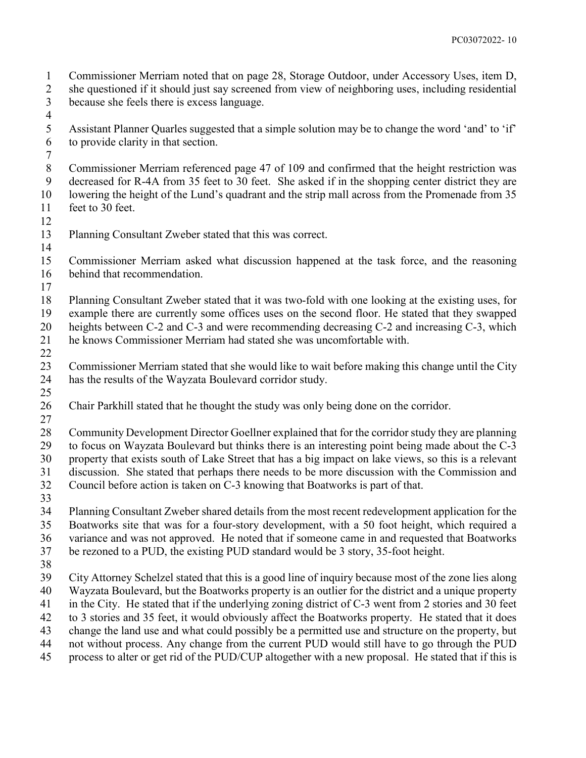Commissioner Merriam noted that on page 28, Storage Outdoor, under Accessory Uses, item D,

 she questioned if it should just say screened from view of neighboring uses, including residential because she feels there is excess language.

 Assistant Planner Quarles suggested that a simple solution may be to change the word 'and' to 'if' to provide clarity in that section.

 Commissioner Merriam referenced page 47 of 109 and confirmed that the height restriction was decreased for R-4A from 35 feet to 30 feet. She asked if in the shopping center district they are lowering the height of the Lund's quadrant and the strip mall across from the Promenade from 35 feet to 30 feet.

Planning Consultant Zweber stated that this was correct.

 Commissioner Merriam asked what discussion happened at the task force, and the reasoning behind that recommendation.

Planning Consultant Zweber stated that it was two-fold with one looking at the existing uses, for

 example there are currently some offices uses on the second floor. He stated that they swapped heights between C-2 and C-3 and were recommending decreasing C-2 and increasing C-3, which

he knows Commissioner Merriam had stated she was uncomfortable with.

 Commissioner Merriam stated that she would like to wait before making this change until the City has the results of the Wayzata Boulevard corridor study.

Chair Parkhill stated that he thought the study was only being done on the corridor.

 Community Development Director Goellner explained that for the corridor study they are planning to focus on Wayzata Boulevard but thinks there is an interesting point being made about the C-3 property that exists south of Lake Street that has a big impact on lake views, so this is a relevant discussion. She stated that perhaps there needs to be more discussion with the Commission and

Council before action is taken on C-3 knowing that Boatworks is part of that.

 Planning Consultant Zweber shared details from the most recent redevelopment application for the Boatworks site that was for a four-story development, with a 50 foot height, which required a variance and was not approved. He noted that if someone came in and requested that Boatworks be rezoned to a PUD, the existing PUD standard would be 3 story, 35-foot height.

 City Attorney Schelzel stated that this is a good line of inquiry because most of the zone lies along Wayzata Boulevard, but the Boatworks property is an outlier for the district and a unique property in the City. He stated that if the underlying zoning district of C-3 went from 2 stories and 30 feet to 3 stories and 35 feet, it would obviously affect the Boatworks property. He stated that it does

change the land use and what could possibly be a permitted use and structure on the property, but

not without process. Any change from the current PUD would still have to go through the PUD

process to alter or get rid of the PUD/CUP altogether with a new proposal. He stated that if this is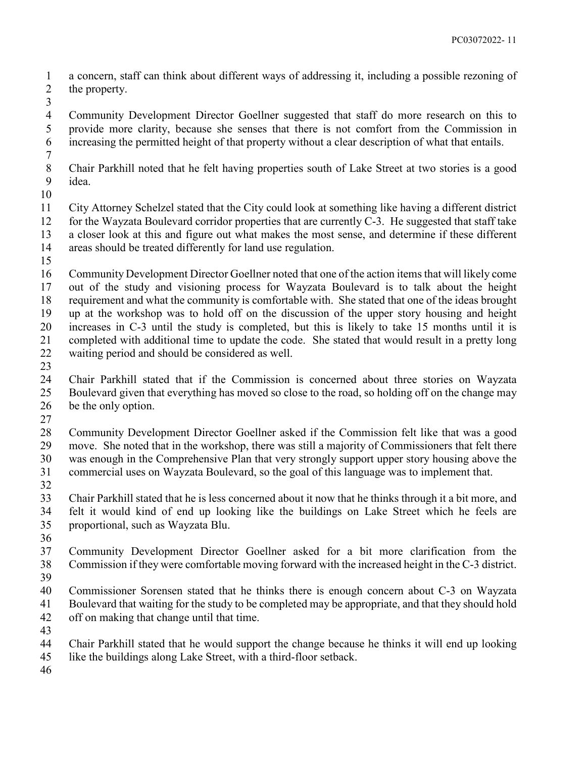a concern, staff can think about different ways of addressing it, including a possible rezoning of the property.

 Community Development Director Goellner suggested that staff do more research on this to provide more clarity, because she senses that there is not comfort from the Commission in increasing the permitted height of that property without a clear description of what that entails.

 Chair Parkhill noted that he felt having properties south of Lake Street at two stories is a good idea.

 City Attorney Schelzel stated that the City could look at something like having a different district for the Wayzata Boulevard corridor properties that are currently C-3. He suggested that staff take a closer look at this and figure out what makes the most sense, and determine if these different areas should be treated differently for land use regulation.

 Community Development Director Goellner noted that one of the action items that will likely come out of the study and visioning process for Wayzata Boulevard is to talk about the height requirement and what the community is comfortable with. She stated that one of the ideas brought up at the workshop was to hold off on the discussion of the upper story housing and height increases in C-3 until the study is completed, but this is likely to take 15 months until it is completed with additional time to update the code. She stated that would result in a pretty long waiting period and should be considered as well.

 $\frac{23}{24}$ 

 Chair Parkhill stated that if the Commission is concerned about three stories on Wayzata Boulevard given that everything has moved so close to the road, so holding off on the change may be the only option.

 Community Development Director Goellner asked if the Commission felt like that was a good move. She noted that in the workshop, there was still a majority of Commissioners that felt there was enough in the Comprehensive Plan that very strongly support upper story housing above the commercial uses on Wayzata Boulevard, so the goal of this language was to implement that.

 Chair Parkhill stated that he is less concerned about it now that he thinks through it a bit more, and felt it would kind of end up looking like the buildings on Lake Street which he feels are proportional, such as Wayzata Blu.

 Community Development Director Goellner asked for a bit more clarification from the Commission if they were comfortable moving forward with the increased height in the C-3 district.

 Commissioner Sorensen stated that he thinks there is enough concern about C-3 on Wayzata Boulevard that waiting for the study to be completed may be appropriate, and that they should hold off on making that change until that time.

- 
- Chair Parkhill stated that he would support the change because he thinks it will end up looking
- like the buildings along Lake Street, with a third-floor setback.
-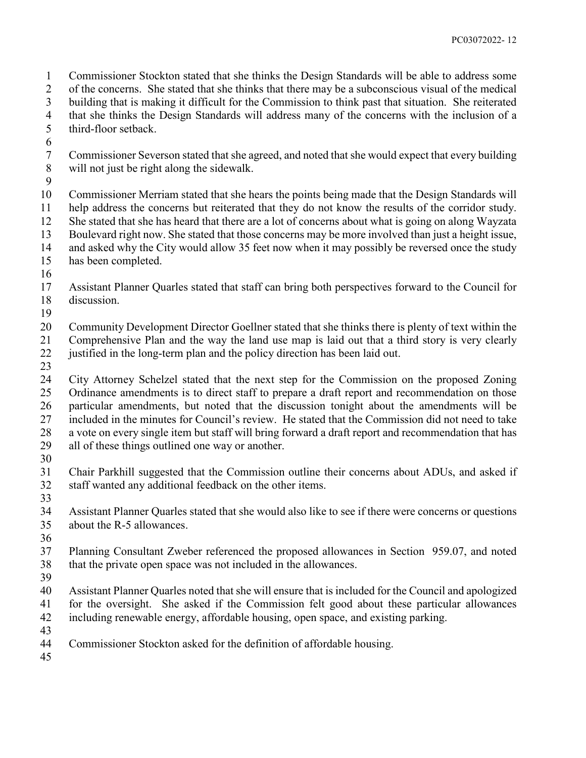Commissioner Stockton stated that she thinks the Design Standards will be able to address some of the concerns. She stated that she thinks that there may be a subconscious visual of the medical

building that is making it difficult for the Commission to think past that situation. She reiterated

that she thinks the Design Standards will address many of the concerns with the inclusion of a

third-floor setback.

- 
- Commissioner Severson stated that she agreed, and noted that she would expect that every building will not just be right along the sidewalk.
- 

 Commissioner Merriam stated that she hears the points being made that the Design Standards will help address the concerns but reiterated that they do not know the results of the corridor study. She stated that she has heard that there are a lot of concerns about what is going on along Wayzata Boulevard right now. She stated that those concerns may be more involved than just a height issue,

- and asked why the City would allow 35 feet now when it may possibly be reversed once the study has been completed.
- 
- Assistant Planner Quarles stated that staff can bring both perspectives forward to the Council for discussion.
- 

Community Development Director Goellner stated that she thinks there is plenty of text within the

 Comprehensive Plan and the way the land use map is laid out that a third story is very clearly justified in the long-term plan and the policy direction has been laid out.

 City Attorney Schelzel stated that the next step for the Commission on the proposed Zoning Ordinance amendments is to direct staff to prepare a draft report and recommendation on those particular amendments, but noted that the discussion tonight about the amendments will be included in the minutes for Council's review. He stated that the Commission did not need to take a vote on every single item but staff will bring forward a draft report and recommendation that has all of these things outlined one way or another.

 Chair Parkhill suggested that the Commission outline their concerns about ADUs, and asked if staff wanted any additional feedback on the other items.

 Assistant Planner Quarles stated that she would also like to see if there were concerns or questions about the R-5 allowances.

 Planning Consultant Zweber referenced the proposed allowances in Section 959.07, and noted that the private open space was not included in the allowances.

 Assistant Planner Quarles noted that she will ensure that is included for the Council and apologized for the oversight. She asked if the Commission felt good about these particular allowances

including renewable energy, affordable housing, open space, and existing parking.

Commissioner Stockton asked for the definition of affordable housing.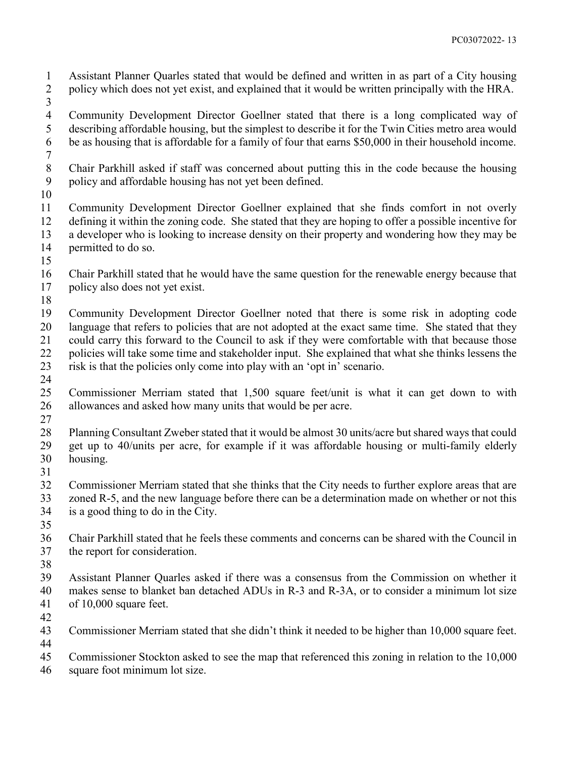Assistant Planner Quarles stated that would be defined and written in as part of a City housing policy which does not yet exist, and explained that it would be written principally with the HRA.

 Community Development Director Goellner stated that there is a long complicated way of describing affordable housing, but the simplest to describe it for the Twin Cities metro area would be as housing that is affordable for a family of four that earns \$50,000 in their household income.

- Chair Parkhill asked if staff was concerned about putting this in the code because the housing policy and affordable housing has not yet been defined.
- 

 Community Development Director Goellner explained that she finds comfort in not overly defining it within the zoning code. She stated that they are hoping to offer a possible incentive for a developer who is looking to increase density on their property and wondering how they may be permitted to do so.

- 
- Chair Parkhill stated that he would have the same question for the renewable energy because that policy also does not yet exist.
- 
- Community Development Director Goellner noted that there is some risk in adopting code language that refers to policies that are not adopted at the exact same time. She stated that they could carry this forward to the Council to ask if they were comfortable with that because those policies will take some time and stakeholder input. She explained that what she thinks lessens the risk is that the policies only come into play with an 'opt in' scenario.
- 
- Commissioner Merriam stated that 1,500 square feet/unit is what it can get down to with allowances and asked how many units that would be per acre.
- 
- Planning Consultant Zweber stated that it would be almost 30 units/acre but shared ways that could get up to 40/units per acre, for example if it was affordable housing or multi-family elderly housing.
- 

 Commissioner Merriam stated that she thinks that the City needs to further explore areas that are zoned R-5, and the new language before there can be a determination made on whether or not this is a good thing to do in the City.

- 
- Chair Parkhill stated that he feels these comments and concerns can be shared with the Council in the report for consideration.
- 
- Assistant Planner Quarles asked if there was a consensus from the Commission on whether it makes sense to blanket ban detached ADUs in R-3 and R-3A, or to consider a minimum lot size
- of 10,000 square feet.
- 
- Commissioner Merriam stated that she didn't think it needed to be higher than 10,000 square feet.
- Commissioner Stockton asked to see the map that referenced this zoning in relation to the 10,000
- square foot minimum lot size.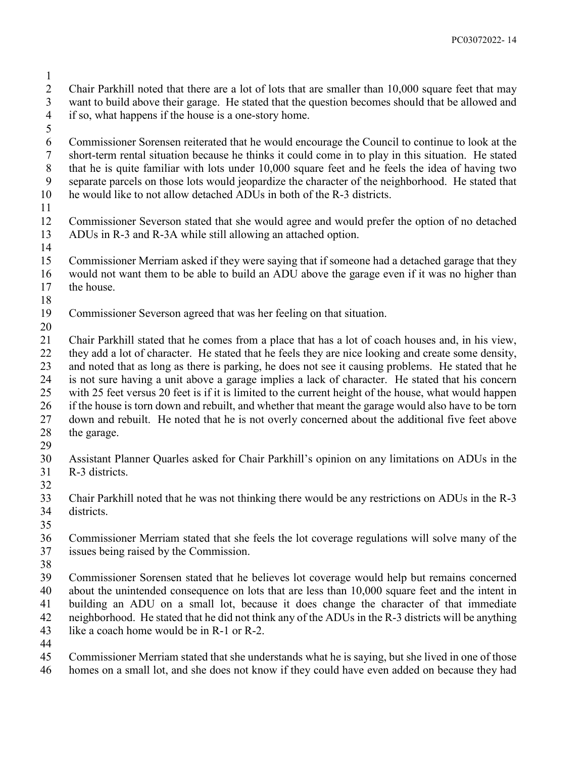Chair Parkhill noted that there are a lot of lots that are smaller than 10,000 square feet that may want to build above their garage. He stated that the question becomes should that be allowed and if so, what happens if the house is a one-story home.

 Commissioner Sorensen reiterated that he would encourage the Council to continue to look at the short-term rental situation because he thinks it could come in to play in this situation. He stated that he is quite familiar with lots under 10,000 square feet and he feels the idea of having two separate parcels on those lots would jeopardize the character of the neighborhood. He stated that he would like to not allow detached ADUs in both of the R-3 districts.

 Commissioner Severson stated that she would agree and would prefer the option of no detached ADUs in R-3 and R-3A while still allowing an attached option.

 Commissioner Merriam asked if they were saying that if someone had a detached garage that they would not want them to be able to build an ADU above the garage even if it was no higher than the house.

Commissioner Severson agreed that was her feeling on that situation.

 Chair Parkhill stated that he comes from a place that has a lot of coach houses and, in his view, they add a lot of character. He stated that he feels they are nice looking and create some density, and noted that as long as there is parking, he does not see it causing problems. He stated that he is not sure having a unit above a garage implies a lack of character. He stated that his concern with 25 feet versus 20 feet is if it is limited to the current height of the house, what would happen if the house is torn down and rebuilt, and whether that meant the garage would also have to be torn

down and rebuilt. He noted that he is not overly concerned about the additional five feet above

- the garage.
- 

 Assistant Planner Quarles asked for Chair Parkhill's opinion on any limitations on ADUs in the R-3 districts.

 Chair Parkhill noted that he was not thinking there would be any restrictions on ADUs in the R-3 districts.

 Commissioner Merriam stated that she feels the lot coverage regulations will solve many of the

issues being raised by the Commission.

 Commissioner Sorensen stated that he believes lot coverage would help but remains concerned about the unintended consequence on lots that are less than 10,000 square feet and the intent in building an ADU on a small lot, because it does change the character of that immediate

neighborhood. He stated that he did not think any of the ADUs in the R-3 districts will be anything

like a coach home would be in R-1 or R-2.

 Commissioner Merriam stated that she understands what he is saying, but she lived in one of those homes on a small lot, and she does not know if they could have even added on because they had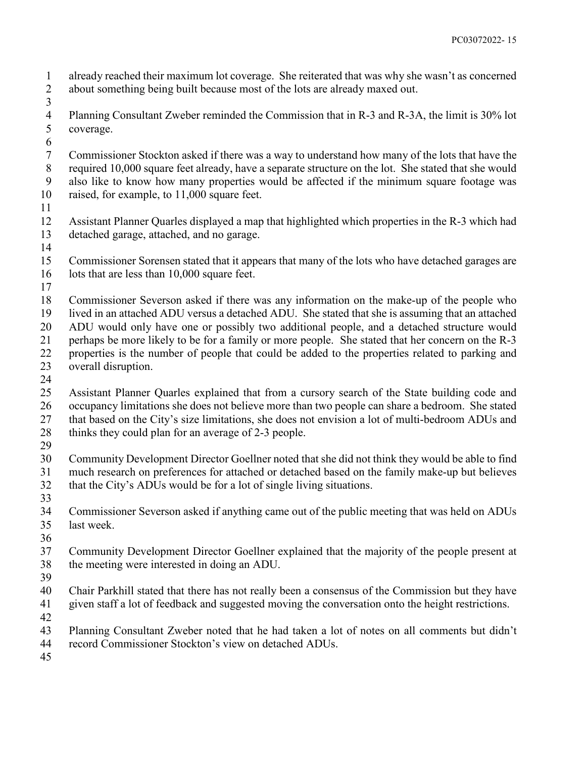already reached their maximum lot coverage. She reiterated that was why she wasn't as concerned about something being built because most of the lots are already maxed out.

- Planning Consultant Zweber reminded the Commission that in R-3 and R-3A, the limit is 30% lot coverage.
- 

 Commissioner Stockton asked if there was a way to understand how many of the lots that have the required 10,000 square feet already, have a separate structure on the lot. She stated that she would also like to know how many properties would be affected if the minimum square footage was raised, for example, to 11,000 square feet.

 Assistant Planner Quarles displayed a map that highlighted which properties in the R-3 which had detached garage, attached, and no garage.

 Commissioner Sorensen stated that it appears that many of the lots who have detached garages are 16 lots that are less than 10,000 square feet.

 Commissioner Severson asked if there was any information on the make-up of the people who lived in an attached ADU versus a detached ADU. She stated that she is assuming that an attached ADU would only have one or possibly two additional people, and a detached structure would perhaps be more likely to be for a family or more people. She stated that her concern on the R-3

- properties is the number of people that could be added to the properties related to parking and overall disruption.
- 

 Assistant Planner Quarles explained that from a cursory search of the State building code and occupancy limitations she does not believe more than two people can share a bedroom. She stated that based on the City's size limitations, she does not envision a lot of multi-bedroom ADUs and 28 thinks they could plan for an average of 2-3 people.

 Community Development Director Goellner noted that she did not think they would be able to find much research on preferences for attached or detached based on the family make-up but believes that the City's ADUs would be for a lot of single living situations.

 Commissioner Severson asked if anything came out of the public meeting that was held on ADUs last week.

 Community Development Director Goellner explained that the majority of the people present at the meeting were interested in doing an ADU.

- 
- Chair Parkhill stated that there has not really been a consensus of the Commission but they have

given staff a lot of feedback and suggested moving the conversation onto the height restrictions.

- 
- Planning Consultant Zweber noted that he had taken a lot of notes on all comments but didn't
- record Commissioner Stockton's view on detached ADUs.
-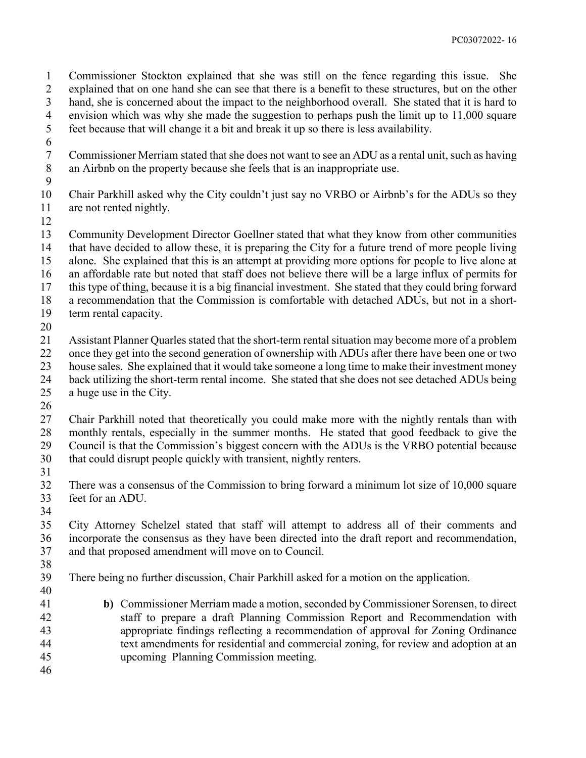Commissioner Stockton explained that she was still on the fence regarding this issue. She explained that on one hand she can see that there is a benefit to these structures, but on the other hand, she is concerned about the impact to the neighborhood overall. She stated that it is hard to envision which was why she made the suggestion to perhaps push the limit up to 11,000 square feet because that will change it a bit and break it up so there is less availability.

- 
- Commissioner Merriam stated that she does not want to see an ADU as a rental unit, such as having an Airbnb on the property because she feels that is an inappropriate use.
- 
- Chair Parkhill asked why the City couldn't just say no VRBO or Airbnb's for the ADUs so they are not rented nightly.
- 

 Community Development Director Goellner stated that what they know from other communities that have decided to allow these, it is preparing the City for a future trend of more people living alone. She explained that this is an attempt at providing more options for people to live alone at an affordable rate but noted that staff does not believe there will be a large influx of permits for this type of thing, because it is a big financial investment. She stated that they could bring forward a recommendation that the Commission is comfortable with detached ADUs, but not in a short-term rental capacity.

 Assistant Planner Quarles stated that the short-term rental situation may become more of a problem once they get into the second generation of ownership with ADUs after there have been one or two house sales. She explained that it would take someone a long time to make their investment money back utilizing the short-term rental income. She stated that she does not see detached ADUs being a huge use in the City.

 Chair Parkhill noted that theoretically you could make more with the nightly rentals than with monthly rentals, especially in the summer months. He stated that good feedback to give the Council is that the Commission's biggest concern with the ADUs is the VRBO potential because that could disrupt people quickly with transient, nightly renters.

 There was a consensus of the Commission to bring forward a minimum lot size of 10,000 square feet for an ADU. 

 City Attorney Schelzel stated that staff will attempt to address all of their comments and incorporate the consensus as they have been directed into the draft report and recommendation, and that proposed amendment will move on to Council.

 There being no further discussion, Chair Parkhill asked for a motion on the application. 

- **b)** Commissioner Merriam made a motion, seconded by Commissioner Sorensen, to direct staff to prepare a draft Planning Commission Report and Recommendation with appropriate findings reflecting a recommendation of approval for Zoning Ordinance text amendments for residential and commercial zoning, for review and adoption at an upcoming Planning Commission meeting.
-